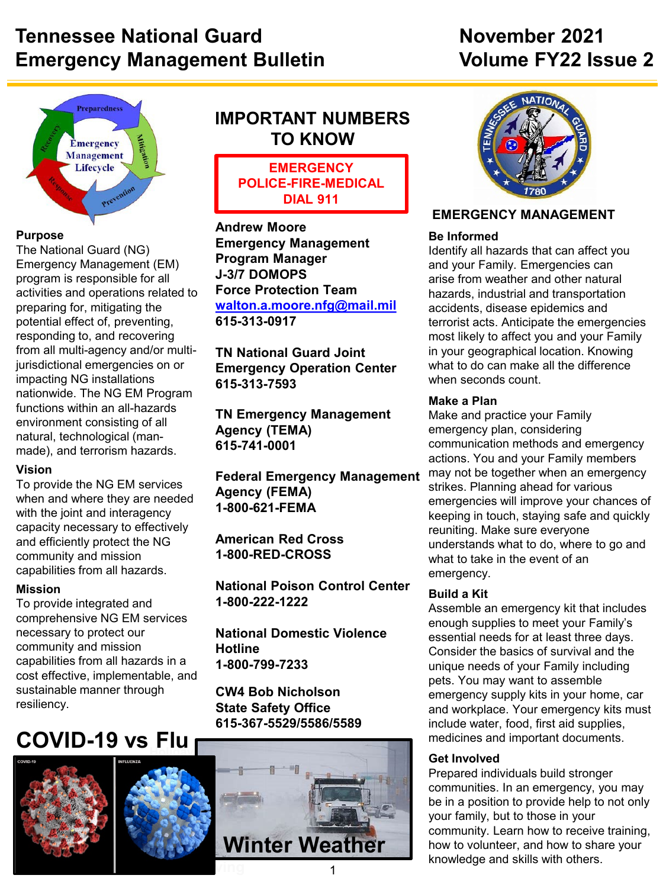## **Tennessee National Guard November 2021 Emergency Management Bulletin Management Bulletin** Volume FY22 Issue 2



#### **Purpose**

The National Guard (NG) Emergency Management (EM) program is responsible for all activities and operations related to preparing for, mitigating the potential effect of, preventing, responding to, and recovering from all multi-agency and/or multijurisdictional emergencies on or impacting NG installations nationwide. The NG EM Program functions within an all-hazards environment consisting of all natural, technological (manmade), and terrorism hazards.

#### **Vision**

To provide the NG EM services when and where they are needed with the joint and interagency capacity necessary to effectively and efficiently protect the NG community and mission capabilities from all hazards.

#### **Mission**

To provide integrated and comprehensive NG EM services necessary to protect our community and mission capabilities from all hazards in a cost effective, implementable, and sustainable manner through resiliency.

# $\begin{array}{|c|c|c|}\hline \text{COVID-19} & \text{vs } \textsf{Flu} \end{array}$





#### **IMPORTANT NUMBERS TO KNOW**

**EMERGENCY POLICE-FIRE-MEDICAL DIAL 911**

**Andrew Moore Emergency Management Program Manager J-3/7 DOMOPS Force Protection Team [walton.a.moore.nfg@mail.mil](mailto:walton.a.moore.nfg@mail.mil) 615-313-0917**

**TN National Guard Joint Emergency Operation Center 615-313-7593**

**TN Emergency Management Agency (TEMA) 615-741-0001**

**Federal Emergency Management Agency (FEMA) 1-800-621-FEMA**

**American Red Cross 1-800-RED-CROSS**

**National Poison Control Center 1-800-222-1222**

**National Domestic Violence Hotline 1-800-799-7233**

**CW4 Bob Nicholson State Safety Office 615-367-5529/5586/5589**





#### **EMERGENCY MANAGEMENT**

#### **Be Informed**

Identify all hazards that can affect you and your Family. Emergencies can arise from weather and other natural hazards, industrial and transportation accidents, disease epidemics and terrorist acts. Anticipate the emergencies most likely to affect you and your Family in your geographical location. Knowing what to do can make all the difference when seconds count.

#### **Make a Plan**

Make and practice your Family emergency plan, considering communication methods and emergency actions. You and your Family members may not be together when an emergency strikes. Planning ahead for various emergencies will improve your chances of keeping in touch, staying safe and quickly reuniting. Make sure everyone understands what to do, where to go and what to take in the event of an emergency.

#### **Build a Kit**

Assemble an emergency kit that includes enough supplies to meet your Family's essential needs for at least three days. Consider the basics of survival and the unique needs of your Family including pets. You may want to assemble emergency supply kits in your home, car and workplace. Your emergency kits must include water, food, first aid supplies, medicines and important documents.

#### **Get Involved**

Prepared individuals build stronger communities. In an emergency, you may be in a position to provide help to not only your family, but to those in your community. Learn how to receive training, how to volunteer, and how to share your knowledge and skills with others.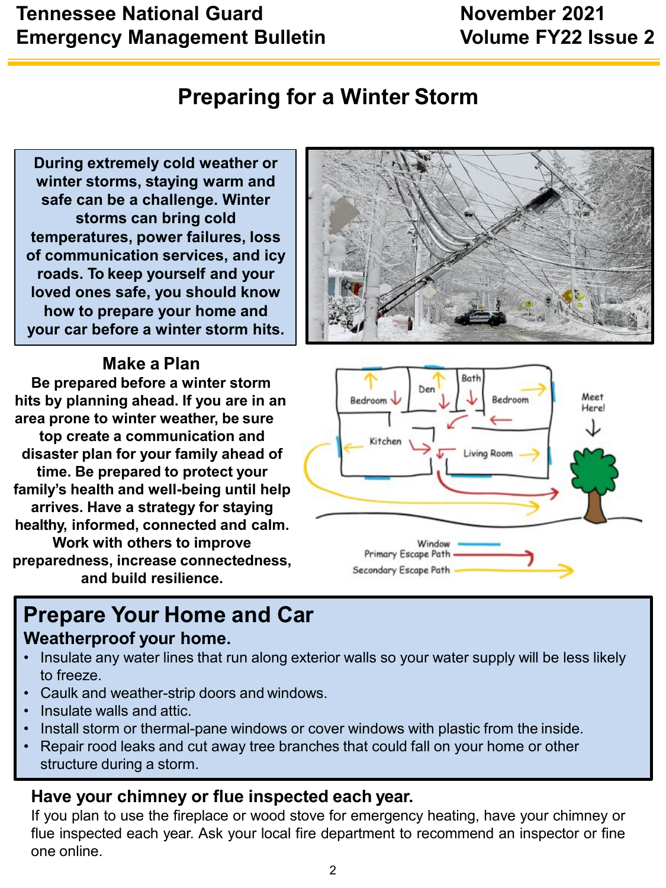## **Tennessee National Guard November 2021 Emergency Management Bulletin Management Bulletin** Volume FY22 Issue 2

## **Preparing for a Winter Storm**

**During extremely cold weather or winter storms, staying warm and safe can be a challenge. Winter storms can bring cold temperatures, power failures, loss of communication services, and icy roads. To keep yourself and your loved ones safe, you should know how to prepare your home and your car before a winter storm hits.**

#### **Make a Plan**

**Be prepared before a winter storm hits by planning ahead. If you are in an area prone to winter weather, be sure top create a communication and disaster plan for your family ahead of time. Be prepared to protect your family's health and well-being until help arrives. Have a strategy for staying healthy, informed, connected and calm.**

**Work with others to improve preparedness, increase connectedness, and build resilience.**

## **Prepare Your Home and Car Weatherproof your home.**

- Insulate any water lines that run along exterior walls so your water supply will be less likely to freeze.
- Caulk and weather-strip doors and windows.
- Insulate walls and attic.
- Install storm or thermal-pane windows or cover windows with plastic from the inside.
- Repair rood leaks and cut away tree branches that could fall on your home or other structure during a storm.

#### **Have your chimney or flue inspected each year.**

If you plan to use the fireplace or wood stove for emergency heating, have your chimney or flue inspected each year. Ask your local fire department to recommend an inspector or fine one online.



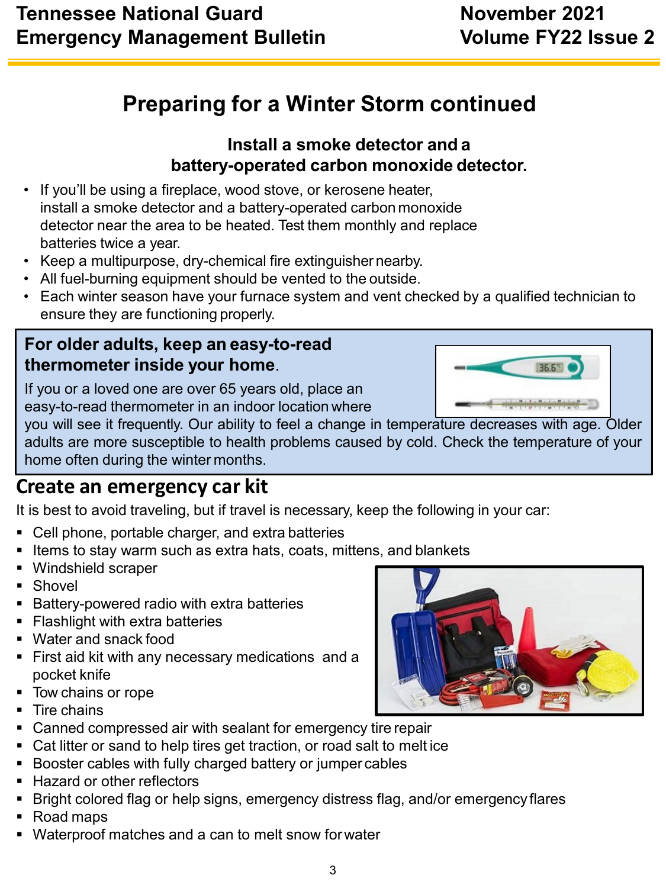# **Preparing for a Winter Storm continued**

### **Install a smoke detector and a battery-operated carbon monoxide detector.**

- If you'll be using a fireplace, wood stove, or kerosene heater, install a smoke detector and a battery-operated carbon monoxide detector near the area to be heated. Test them monthly and replace batteries twice a year.
- Keep a multipurpose, dry-chemical fire extinguisher nearby.
- All fuel-burning equipment should be vented to the outside.
- Each winter season have your furnace system and vent checked by a qualified technician to ensure they are functioning properly.

### **For older adults, keep an easy-to-read thermometer inside your home**.

If you or a loved one are over 65 years old, place an easy-to-read thermometer in an indoor location where

you will see it frequently. Our ability to feel a change in temperature decreases with age. Older adults are more susceptible to health problems caused by cold. Check the temperature of your home often during the winter months.

## **Create an emergency car kit**

It is best to avoid traveling, but if travel is necessary, keep the following in your car:

- Cell phone, portable charger, and extra batteries
- **Items to stay warm such as extra hats, coats, mittens, and blankets**
- Windshield scraper
- **Shovel**
- Battery-powered radio with extra batteries
- **Flashlight with extra batteries**
- Water and snack food
- **First aid kit with any necessary medications and a** pocket knife
- Tow chains or rope
- **Tire chains**
- Canned compressed air with sealant for emergency tire repair
- Cat litter or sand to help tires get traction, or road salt to melt ice
- Booster cables with fully charged battery or jumper cables
- Hazard or other reflectors
- **Bright colored flag or help signs, emergency distress flag, and/or emergency flares**
- Road maps
- Waterproof matches and a can to melt snow forwater



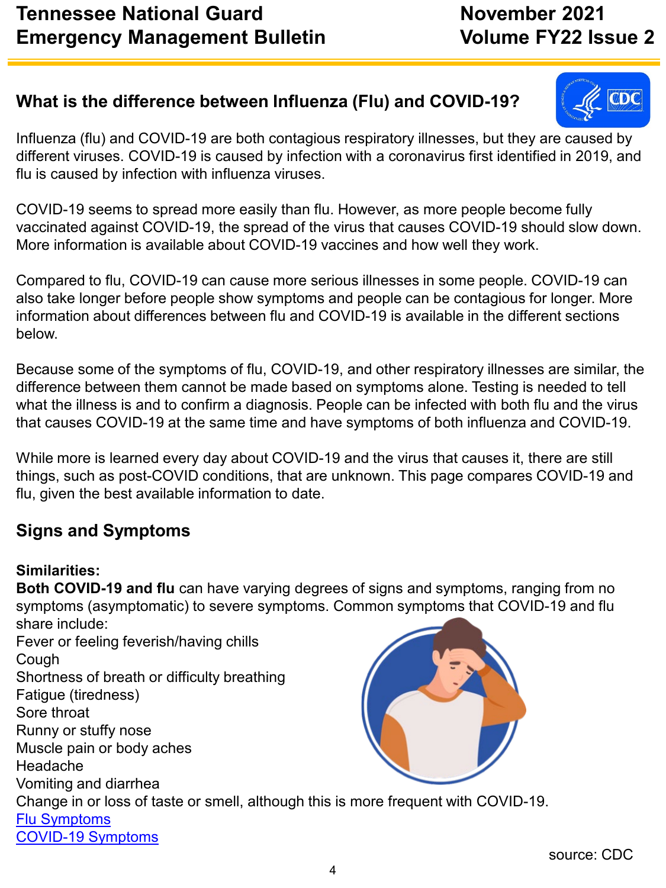### **What is the difference between Influenza (Flu) and COVID-19?**

Influenza (flu) and COVID-19 are both contagious respiratory illnesses, but they are caused by different viruses. COVID-19 is caused by infection with a coronavirus first identified in 2019, and flu is caused by infection with influenza viruses.

COVID-19 seems to spread more easily than flu. However, as more people become fully vaccinated against COVID-19, the spread of the virus that causes COVID-19 should slow down. More information is available about COVID-19 vaccines and how well they work.

Compared to flu, COVID-19 can cause more serious illnesses in some people. COVID-19 can also take longer before people show symptoms and people can be contagious for longer. More information about differences between flu and COVID-19 is available in the different sections below.

Because some of the symptoms of flu, COVID-19, and other respiratory illnesses are similar, the difference between them cannot be made based on symptoms alone. Testing is needed to tell what the illness is and to confirm a diagnosis. People can be infected with both flu and the virus that causes COVID-19 at the same time and have symptoms of both influenza and COVID-19.

While more is learned every day about COVID-19 and the virus that causes it, there are still things, such as post-COVID conditions, that are unknown. This page compares COVID-19 and flu, given the best available information to date.

## **Signs and Symptoms**

#### **Similarities:**

**Both COVID-19 and flu** can have varying degrees of signs and symptoms, ranging from no symptoms (asymptomatic) to severe symptoms. Common symptoms that COVID-19 and flu share include: Fever or feeling feverish/having chills Cough Shortness of breath or difficulty breathing Fatigue (tiredness) Sore throat Runny or stuffy nose Muscle pain or body aches Headache Vomiting and diarrhea Change in or loss of taste or smell, although this is more frequent with COVID-19. [Flu Symptoms](https://www.cdc.gov/flu/symptoms/symptoms.htm) [COVID-19 Symptoms](https://www.cdc.gov/coronavirus/2019-ncov/symptoms-testing/symptoms.html)

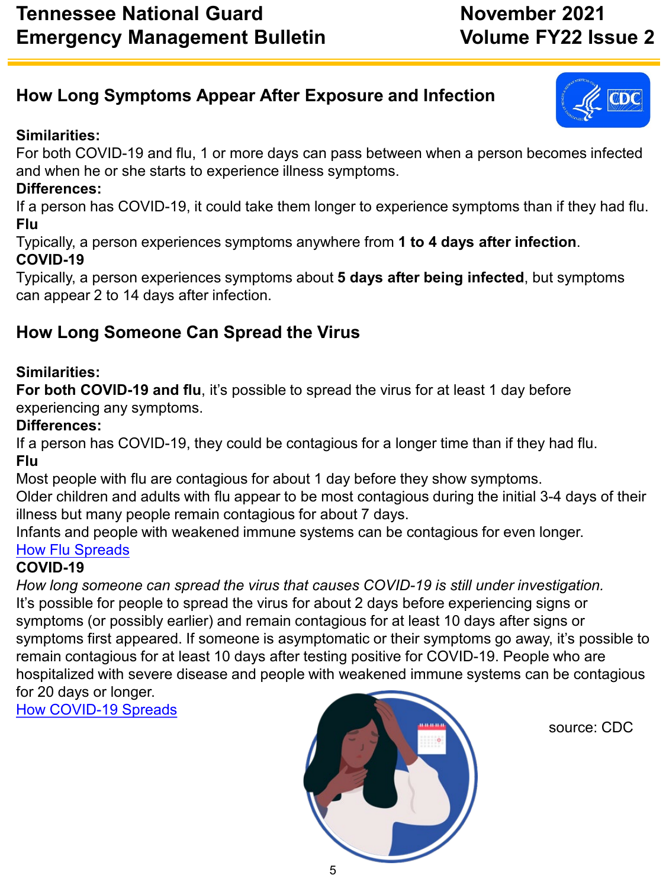## **How Long Symptoms Appear After Exposure and Infection**

#### **Similarities:**

For both COVID-19 and flu, 1 or more days can pass between when a person becomes infected and when he or she starts to experience illness symptoms.

#### **Differences:**

If a person has COVID-19, it could take them longer to experience symptoms than if they had flu. **Flu**

Typically, a person experiences symptoms anywhere from **1 to 4 days after infection**. **COVID-19**

Typically, a person experiences symptoms about **5 days after being infected**, but symptoms can appear 2 to 14 days after infection.

## **How Long Someone Can Spread the Virus**

#### **Similarities:**

**For both COVID-19 and flu**, it's possible to spread the virus for at least 1 day before experiencing any symptoms.

#### **Differences:**

If a person has COVID-19, they could be contagious for a longer time than if they had flu. **Flu**

Most people with flu are contagious for about 1 day before they show symptoms.

Older children and adults with flu appear to be most contagious during the initial 3-4 days of their illness but many people remain contagious for about 7 days.

Infants and people with weakened immune systems can be contagious for even longer. [How Flu Spreads](https://www.cdc.gov/flu/about/disease/spread.htm)

#### **COVID-19**

*How long someone can spread the virus that causes COVID-19 is still under investigation.* It's possible for people to spread the virus for about 2 days before experiencing signs or symptoms (or possibly earlier) and remain contagious for at least 10 days after signs or symptoms first appeared. If someone is asymptomatic or their symptoms go away, it's possible to remain contagious for at least 10 days after testing positive for COVID-19. People who are hospitalized with severe disease and people with weakened immune systems can be contagious for 20 days or longer.

[How COVID-19 Spreads](https://www.cdc.gov/coronavirus/2019-ncov/prevent-getting-sick/how-covid-spreads.html)



source: CDC

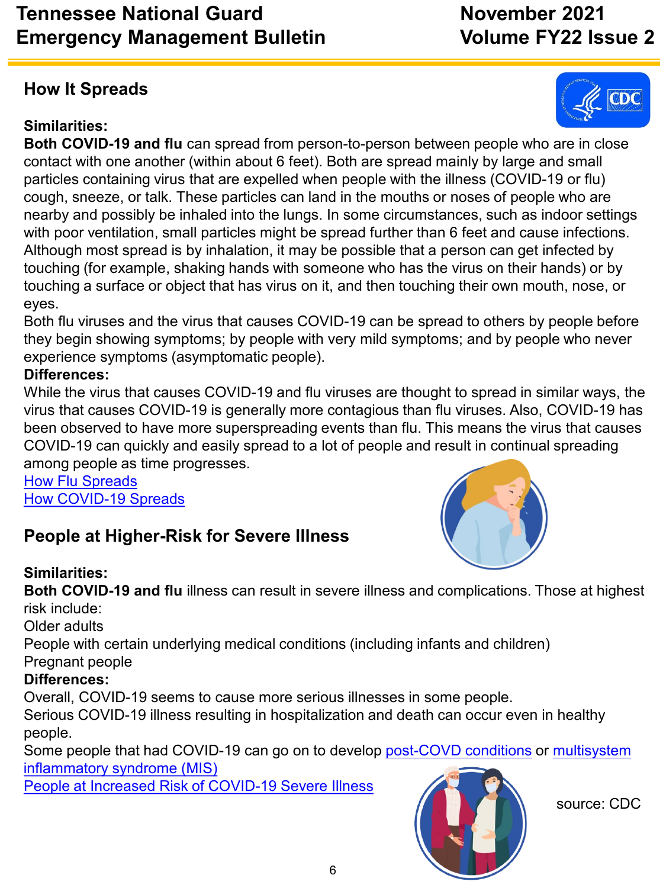## **Tennessee National Guard November 2021 Emergency Management Bulletin Volume FY22 Issue 2**

## **How It Spreads**

### **Similarities:**

**Both COVID-19 and flu** can spread from person-to-person between people who are in close contact with one another (within about 6 feet). Both are spread mainly by large and small particles containing virus that are expelled when people with the illness (COVID-19 or flu) cough, sneeze, or talk. These particles can land in the mouths or noses of people who are nearby and possibly be inhaled into the lungs. In some circumstances, such as indoor settings with poor ventilation, small particles might be spread further than 6 feet and cause infections. Although most spread is by inhalation, it may be possible that a person can get infected by touching (for example, shaking hands with someone who has the virus on their hands) or by touching a surface or object that has virus on it, and then touching their own mouth, nose, or eyes.

Both flu viruses and the virus that causes COVID-19 can be spread to others by people before they begin showing symptoms; by people with very mild symptoms; and by people who never experience symptoms (asymptomatic people).

#### **Differences:**

While the virus that causes COVID-19 and flu viruses are thought to spread in similar ways, the virus that causes COVID-19 is generally more contagious than flu viruses. Also, COVID-19 has been observed to have more superspreading events than flu. This means the virus that causes COVID-19 can quickly and easily spread to a lot of people and result in continual spreading among people as time progresses.

[How Flu Spreads](https://www.cdc.gov/flu/about/disease/spread.htm) [How COVID-19 Spreads](https://www.cdc.gov/coronavirus/2019-ncov/prevent-getting-sick/how-covid-spreads.html)

## **People at Higher-Risk for Severe Illness**

#### **Similarities:**

**Both COVID-19 and flu** illness can result in severe illness and complications. Those at highest risk include:

Older adults

People with certain underlying medical conditions (including infants and children)

Pregnant people

#### **Differences:**

Overall, COVID-19 seems to cause more serious illnesses in some people.

Serious COVID-19 illness resulting in hospitalization and death can occur even in healthy people.

[Some people that had COVID-19 can go on to develop post-COVD](https://www.cdc.gov/mis/) conditions or multisystem inflammatory syndrome (MIS)

[People at Increased Risk of COVID-19 Severe Illness](https://www.cdc.gov/coronavirus/2019-ncov/need-extra-precautions/index.html)



source: CDC



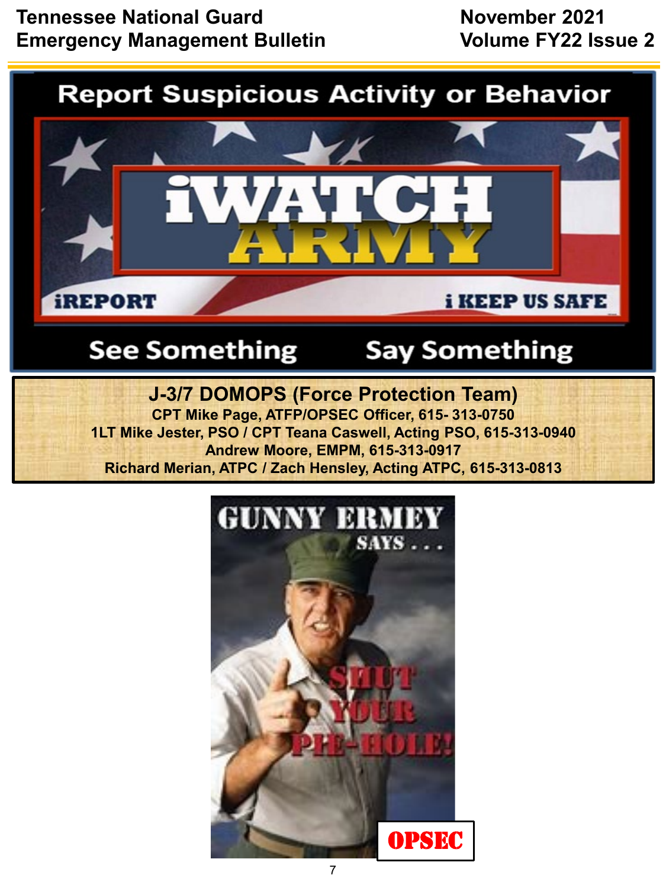## **Tennessee National Guard November 2021 Emergency Management Bulletin Volume FY22 Issue 2**

# **Report Suspicious Activity or Behavior**



# **See Something**

# **Say Something**

**J-3/7 DOMOPS (Force Protection Team) CPT Mike Page, ATFP/OPSEC Officer, 615- 313-0750 1LT Mike Jester, PSO / CPT Teana Caswell, Acting PSO, 615-313-0940 Andrew Moore, EMPM, 615-313-0917 Richard Merian, ATPC / Zach Hensley, Acting ATPC, 615-313-0813**